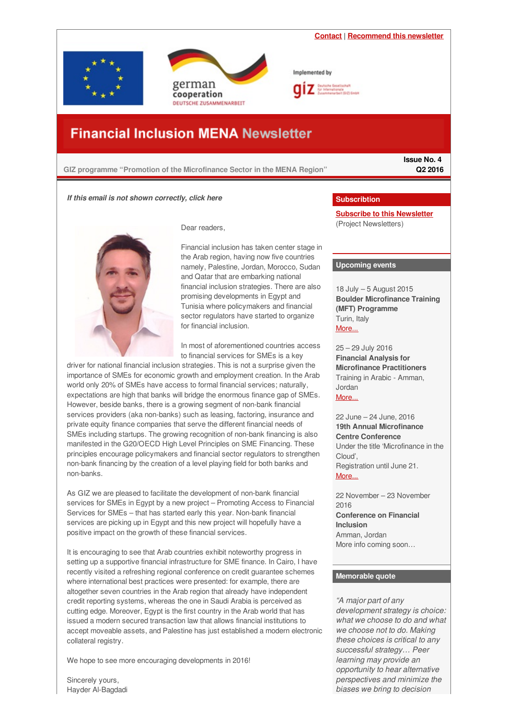<span id="page-0-0"></span>

# **Financial Inclusion MENA Newsletter**

### **GIZ programme "Promotion of the Microfinance Sector in the MENA Region"**

**Issue No. 4 Q2 2016**

### *If this email is not shown correctly, click here*



Dear readers,

Financial inclusion has taken center stage in the Arab region, having now five countries namely, Palestine, Jordan, Morocco, Sudan and Qatar that are embarking national financial inclusion strategies. There are also promising developments in Egypt and Tunisia where policymakers and financial sector regulators have started to organize for financial inclusion.

In most of aforementioned countries access to financial services for SMEs is a key

driver for national financial inclusion strategies. This is not a surprise given the importance of SMEs for economic growth and employment creation. In the Arab world only 20% of SMEs have access to formal financial services; naturally, expectations are high that banks will bridge the enormous finance gap of SMEs. However, beside banks, there is a growing segment of non-bank financial services providers (aka non-banks) such as leasing, factoring, insurance and private equity finance companies that serve the different financial needs of SMEs including startups. The growing recognition of non-bank financing is also manifested in the G20/OECD High Level Principles on SME Financing. These principles encourage policymakers and financial sector regulators to strengthen non-bank financing by the creation of a level playing field for both banks and non-banks.

As GIZ we are pleased to facilitate the development of non-bank financial services for SMEs in Egypt by a new project – Promoting Access to Financial Services for SMEs – that has started early this year. Non-bank financial services are picking up in Egypt and this new project will hopefully have a positive impact on the growth of these financial services.

It is encouraging to see that Arab countries exhibit noteworthy progress in setting up a supportive financial infrastructure for SME finance. In Cairo, I have recently visited a refreshing regional conference on credit guarantee schemes where international best practices were presented: for example, there are altogether seven countries in the Arab region that already have independent credit reporting systems, whereas the one in Saudi Arabia is perceived as cutting edge. Moreover, Egypt is the first country in the Arab world that has issued a modern secured transaction law that allows financial institutions to accept moveable assets, and Palestine has just established a modern electronic collateral registry.

We hope to see more encouraging developments in 2016!

### **Subscribtion**

**Subscribe to this [Newsletter](http://www.giz.de/en/mediacenter/117.html)** (Project Newsletters)

### **Upcoming events**

18 July – 5 August 2015 **Boulder Microfinance Training (MFT) Programme** Turin, Italy [More...](https://www.bouldermicrofinance.org/boulder/EN/MFT_EN)

25 – 29 July 2016 **Financial Analysis for Microfinance Practitioners** Training in Arabic - Amman, Jordan [More...](http://www.microfinancegateway.org/sites/default/files/event_files/cmpma_2.pdf)

22 June – 24 June, 2016 **19th Annual Microfinance Centre Conference** Under the title 'Microfinance in the Cloud', Registration until June 21. [More...](http://www.mfc2016.org/)

22 November – 23 November 2016

**Conference on Financial Inclusion** Amman, Jordan

More info coming soon…

### **Memorable quote**

*"A major part of any development strategy is choice: what we choose to do and what we choose not to do. Making these choices is critical to any successful strategy… Peer learning may provide an opportunity to hear alternative perspectives and minimize the biases we bring to decision*

Sincerely yours, Hayder Al-Bagdadi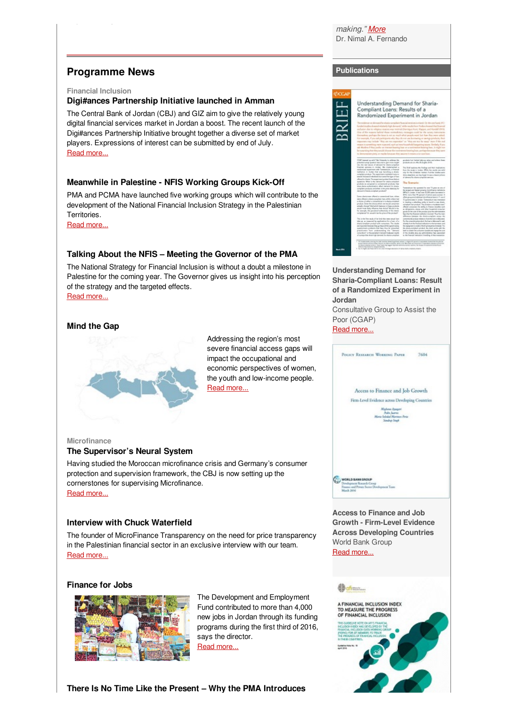*making." [More](https://blogs.afi-global.org/2013/05/09/financial-inclusion-strategy-peer-learning-proceeding-with-caution/)* Dr. Nimal A. Fernando

# **Programme News**

### **Financial Inclusion**

Hayder Al-Bagdadi

### **Digi#ances Partnership Initiative launched in Amman**

The Central Bank of Jordan (CBJ) and GIZ aim to give the relatively young digital financial services market in Jordan a boost. The recent launch of the Digi#ances Partnership Initiative brought together a diverse set of market players. Expressions of interest can be submitted by end of July. Read [more...](https://login.mailingwork.de/-link2/1593/2647/79/0/120623/sMLFGPjR/KTXFvQb7BU/0)

### **Meanwhile in Palestine - NFIS Working Groups Kick-Off**

PMA and PCMA have launched five working groups which will contribute to the development of the National Financial Inclusion Strategy in the Palestinian Territories.

Read [more...](https://login.mailingwork.de/-link2/1593/2647/83/0/120623/sMLFGPjR/KTXFvQb7BU/0)

### **Talking About the NFIS – Meeting the Governor of the PMA**

The National Strategy for Financial Inclusion is without a doubt a milestone in Palestine for the coming year. The Governor gives us insight into his perception of the strategy and the targeted effects. Read [more...](https://login.mailingwork.de/-link2/1593/2647/83/0/120623/sMLFGPjR/KTXFvQb7BU/0)

### **Mind the Gap**



Addressing the region's most severe financial access gaps will impact the occupational and economic perspectives of women, the youth and low-income people. Read [more...](https://login.mailingwork.de/-link2/1593/2647/131/0/120623/sMLFGPjR/KTXFvQb7BU/0)

### **Microfinance**

### **The Supervisor's Neural System**

Having studied the Moroccan microfinance crisis and Germany's consumer protection and supervision framework, the CBJ is now setting up the cornerstones for supervising Microfinance. Read [more...](https://login.mailingwork.de/-link2/1593/2647/79/0/120623/sMLFGPjR/KTXFvQb7BU/0)

### **Interview with Chuck Waterfield**

The founder of MicroFinance Transparency on the need for price transparency in the Palestinian financial sector in an exclusive interview with our team. Read [more...](https://login.mailingwork.de/-link2/1593/2647/83/0/120623/sMLFGPjR/KTXFvQb7BU/0)

### **Finance for Jobs**



The Development and Employment Fund contributed to more than 4,000 new jobs in Jordan through its funding programs during the first third of 2016, says the director. Read [more...](https://login.mailingwork.de/-link2/1593/2647/79/0/120623/sMLFGPjR/KTXFvQb7BU/0)

**There Is No Time Like the Present – Why the PMA Introduces**

# **Publications**



**Understanding Demand for Sharia-Compliant Loans: Result of a Randomized Experiment in Jordan**

Consultative Group to Assist the Poor (CGAP)

Read [more...](http://www.cgap.org/sites/default/files/Brief-Understanding-Demand-for-Sharia-Compliant-Loans-March-2016.pdf)



**Access to Finance and Job Growth - Firm-Level Evidence Across Developing Countries** World Bank Group Read [more...](http://www-wds.worldbank.org/external/default/WDSContentServer/WDSP/IB/2016/04/29/090224b0842e34f3/2_0/Rendered/PDF/Access0to0fina0developing0countries.pdf)

#### **Continued**

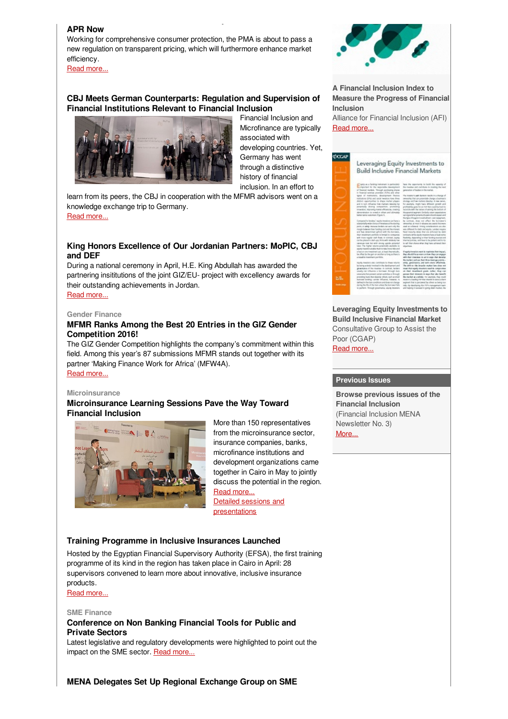### **APR Now**

Working for comprehensive consumer protection, the PMA is about to pass a new regulation on transparent pricing, which will furthermore enhance market efficiency.

**There Is No Time Like the Present – Why the PMA Introduces**

Read [more...](https://login.mailingwork.de/-link2/1593/2647/83/0/120623/sMLFGPjR/KTXFvQb7BU/0)

# **CBJ Meets German Counterparts: Regulation and Supervision of Financial Institutions Relevant to Financial Inclusion**



Financial Inclusion and Microfinance are typically associated with developing countries. Yet, Germany has went through a distinctive history of financial inclusion. In an effort to

learn from its peers, the CBJ in cooperation with the MFMR advisors went on a knowledge exchange trip to Germany. Read [more...](https://login.mailingwork.de/-link2/1593/2647/3/0/120623/sMLFGPjR/KTXFvQb7BU/0)

# **King Honors Excellence of Our Jordanian Partners: MoPIC, CBJ and DEF**

During a national ceremony in April, H.E. King Abdullah has awarded the partnering insititutions of the joint GIZ/EU- project with excellency awards for their outstanding achievements in Jordan.

Read [more...](https://login.mailingwork.de/-link2/1593/2647/85/0/120623/sMLFGPjR/KTXFvQb7BU/0)

#### **Gender Finance**

### **MFMR Ranks Among the Best 20 Entries in the GIZ Gender Competition 2016!**

The GIZ Gender Competition highlights the company's commitment within this field. Among this year's 87 submissions MFMR stands out together with its partner 'Making Finance Work for Africa' (MFW4A). Read [more...](https://login.mailingwork.de/-link2/1593/2647/5/0/120623/sMLFGPjR/KTXFvQb7BU/0)

# **Microinsurance**

# **Microinsurance Learning Sessions Pave the Way Toward Financial Inclusion**



More than 150 representatives from the microinsurance sector, insurance companies, banks, microfinance institutions and development organizations came together in Cairo in May to jointly discuss the potential in the region. Read [more...](http://www.microfinance-mena.org/?page=Pages_Activities&id=1) Detailed sessions and [presentations](http://www.microfinance-mena.org/?page=resources)

### **Training Programme in Inclusive Insurances Launched**

Hosted by the Egyptian Financial Supervisory Authority (EFSA), the first training programme of its kind in the region has taken place in Cairo in April: 28 supervisors convened to learn more about innovative, inclusive insurance products.

Read [more...](https://login.mailingwork.de/-link2/1593/2647/87/0/120623/sMLFGPjR/KTXFvQb7BU/0)

### **SME Finance**

### **Conference on Non Banking Financial Tools for Public and Private Sectors**

Latest legislative and regulatory developments were highlighted to point out the impact on the SME sector. Read [more...](https://login.mailingwork.de/-link2/1593/2647/87/0/120623/sMLFGPjR/KTXFvQb7BU/0)



**Inclusion**





**Leveraging Equity Investments to Build Inclusive Financial Market** Consultative Group to Assist the Poor (CGAP) Read [more...](http://www.cgap.org/sites/default/files/Focus-Note-Leveraging-Equity-Investments-Apr-2016.pdf)

### **Previous Issues**

**Browse previous issues of the Financial Inclusion** (Financial Inclusion MENA Newsletter No. 3) [More...](http://www.microfinance-mena.org/ckfinder/userfiles/files/Newsletter Issue 3.pdf)

**MENA Delegates Set Up Regional Exchange Group on SME**



**A Financial Inclusion Index to Measure the Progress of Financial**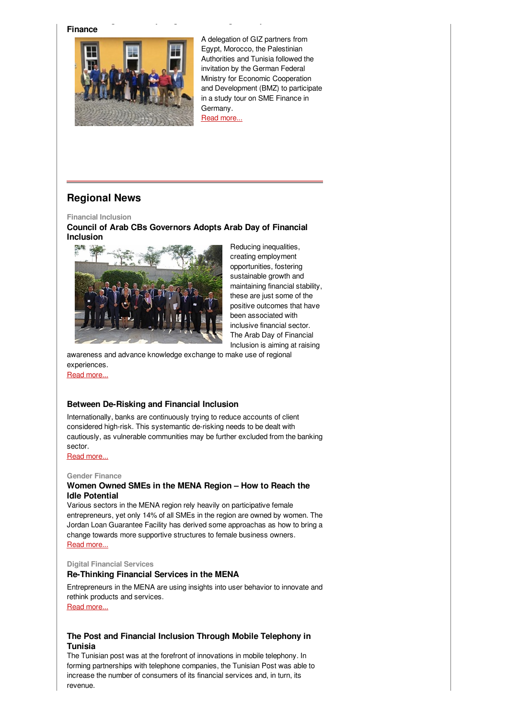**Finance**



A delegation of GIZ partners from Egypt, Morocco, the Palestinian Authorities and Tunisia followed the invitation by the German Federal Ministry for Economic Cooperation and Development (BMZ) to participate in a study tour on SME Finance in Germany. Read [more...](https://login.mailingwork.de/-link2/1593/2647/131/0/120623/sMLFGPjR/KTXFvQb7BU/0)

# **Regional News**

**Financial Inclusion**

# **Council of Arab CBs Governors Adopts Arab Day of Financial Inclusion**

**MENA Delegates Set Up Regional Exchange Group on SME**



Reducing inequalities, creating employment opportunities, fostering sustainable growth and maintaining financial stability, these are just some of the positive outcomes that have been associated with inclusive financial sector. The Arab Day of Financial Inclusion is aiming at raising

awareness and advance knowledge exchange to make use of regional experiences.

Read [more...](https://login.mailingwork.de/-link2/1593/2647/89/0/120623/sMLFGPjR/KTXFvQb7BU/0)

### **Between De-Risking and Financial Inclusion**

Internationally, banks are continuously trying to reduce accounts of client considered high-risk. This systemantic de-risking needs to be dealt with cautiously, as vulnerable communities may be further excluded from the banking sector.

Read [more...](https://login.mailingwork.de/-link2/1593/2647/91/0/120623/sMLFGPjR/KTXFvQb7BU/0)

### **Gender Finance**

### **Women Owned SMEs in the MENA Region – How to Reach the Idle Potential**

Various sectors in the MENA region rely heavily on participative female entrepreneurs, yet only 14% of all SMEs in the region are owned by women. The Jordan Loan Guarantee Facility has derived some approachas as how to bring a change towards more supportive structures to female business owners. Read [more...](https://login.mailingwork.de/-link2/1593/2647/93/0/120623/sMLFGPjR/KTXFvQb7BU/0)

#### **Digital Financial Services**

### **Re-Thinking Financial Services in the MENA**

Entrepreneurs in the MENA are using insights into user behavior to innovate and rethink products and services.

Read [more...](https://login.mailingwork.de/-link2/1593/2647/95/0/120623/sMLFGPjR/KTXFvQb7BU/0)

### **The Post and Financial Inclusion Through Mobile Telephony in Tunisia**

The Tunisian post was at the forefront of innovations in mobile telephony. In forming partnerships with telephone companies, the Tunisian Post was able to increase the number of consumers of its financial services and, in turn, its revenue.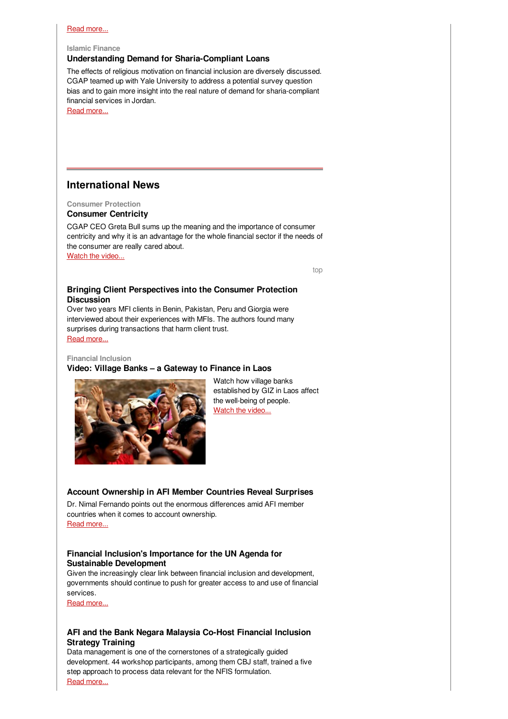### Read [more...](https://login.mailingwork.de/-link2/1593/2647/99/0/120623/sMLFGPjR/KTXFvQb7BU/0)

### **Islamic Finance**

### **Understanding Demand for Sharia-Compliant Loans**

The effects of religious motivation on financial inclusion are diversely discussed. CGAP teamed up with Yale University to address a potential survey question bias and to gain more insight into the real nature of demand for sharia-compliant financial services in Jordan.

Read [more...](https://login.mailingwork.de/-link2/1593/2647/101/0/120623/sMLFGPjR/KTXFvQb7BU/0)

# **International News**

**Consumer Protection Consumer Centricity**

CGAP CEO Greta Bull sums up the meaning and the importance of consumer centricity and why it is an advantage for the whole financial sector if the needs of the consumer are really cared about.

Watch the [video...](https://login.mailingwork.de/-link2/1593/2647/109/0/120623/sMLFGPjR/KTXFvQb7BU/0)

[top](#page-0-0)

# **Bringing Client Perspectives into the Consumer Protection Discussion**

Over two years MFI clients in Benin, Pakistan, Peru and Giorgia were interviewed about their experiences with MFIs. The authors found many surprises during transactions that harm client trust. Read [more...](https://login.mailingwork.de/-link2/1593/2647/103/0/120623/sMLFGPjR/KTXFvQb7BU/0)

**Financial Inclusion**

# **Video: Village Banks – a Gateway to Finance in Laos**



Watch how village banks established by GIZ in Laos affect the well-being of people. Watch the [video...](https://login.mailingwork.de/-link2/1593/2647/137/0/120623/sMLFGPjR/KTXFvQb7BU/0)

# **Account Ownership in AFI Member Countries Reveal Surprises**

Dr. Nimal Fernando points out the enormous differences amid AFI member countries when it comes to account ownership. Read [more...](https://login.mailingwork.de/-link2/1593/2647/111/0/120623/sMLFGPjR/KTXFvQb7BU/0)

### **Financial Inclusion's Importance for the UN Agenda for Sustainable Development**

Given the increasingly clear link between financial inclusion and development, governments should continue to push for greater access to and use of financial services.

Read [more...](https://login.mailingwork.de/-link2/1593/2647/105/0/120623/sMLFGPjR/KTXFvQb7BU/0)

# **AFI and the Bank Negara Malaysia Co-Host Financial Inclusion Strategy Training**

Data management is one of the cornerstones of a strategically guided development. 44 workshop participants, among them CBJ staff, trained a five step approach to process data relevant for the NFIS formulation. Read [more...](https://login.mailingwork.de/-link2/1593/2647/107/0/120623/sMLFGPjR/KTXFvQb7BU/0)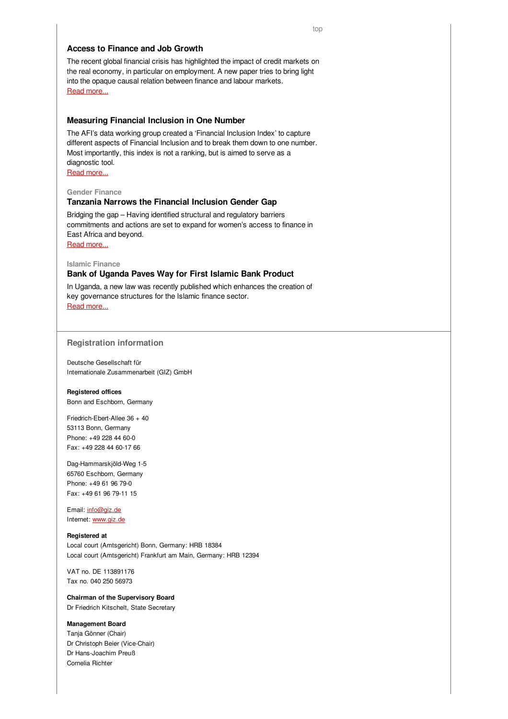### **Access to Finance and Job Growth**

The recent global financial crisis has highlighted the impact of credit markets on the real economy, in particular on employment. A new paper tries to bring light into the opaque causal relation between finance and labour markets. Read [more...](https://login.mailingwork.de/-link2/1593/2647/113/0/120623/sMLFGPjR/KTXFvQb7BU/0)

### **Measuring Financial Inclusion in One Number**

The AFI's data working group created a 'Financial Inclusion Index' to capture different aspects of Financial Inclusion and to break them down to one number. Most importantly, this index is not a ranking, but is aimed to serve as a diagnostic tool.

Read [more...](https://login.mailingwork.de/-link2/1593/2647/115/0/120623/sMLFGPjR/KTXFvQb7BU/0)

# **Gender Finance**

### **Tanzania Narrows the Financial Inclusion Gender Gap**

Bridging the gap – Having identified structural and regulatory barriers commitments and actions are set to expand for women's access to finance in East Africa and beyond.

Read [more...](https://login.mailingwork.de/-link2/1593/2647/119/0/120623/sMLFGPjR/KTXFvQb7BU/0)

**Islamic Finance**

### **Bank of Uganda Paves Way for First Islamic Bank Product**

In Uganda, a new law was recently published which enhances the creation of key governance structures for the Islamic finance sector. Read [more...](https://login.mailingwork.de/-link2/1593/2647/121/0/120623/sMLFGPjR/KTXFvQb7BU/0)

### **Registration information**

**D**eutsche Gesellschaft für Internationale Zusammenarbeit (GIZ) GmbH

#### **Registered offices**

Bonn and Eschborn, Germany

Friedrich-Ebert-Allee 36 + 40 53113 Bonn, Germany Phone: +49 228 44 60-0 Fax: +49 228 44 60-17 66

Dag-Hammarskjöld-Weg 1-5 65760 Eschborn, Germany Phone: +49 61 96 79-0 Fax: +49 61 96 79-11 15

Email: [info@giz.de](mailto:info@giz.de) Internet: [www.giz.de](http://www.giz.de)

#### **Registered at**

Local court (Amtsgericht) Bonn, Germany: HRB 18384 Local court (Amtsgericht) Frankfurt am Main, Germany: HRB 12394

VAT no. DE 113891176 Tax no. 040 250 56973

**Chairman of the Supervisory Board** Dr Friedrich Kitschelt, State Secretary

#### **Management Board**

Tanja Gönner (Chair) Dr Christoph Beier (Vice-Chair) Dr Hans-Joachim Preuß Cornelia Richter